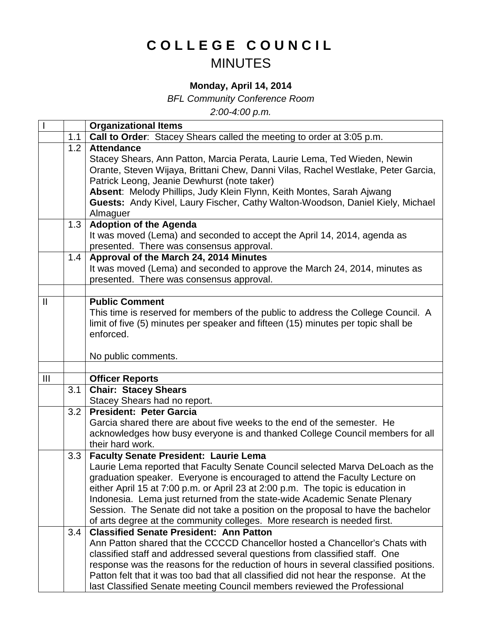## **COLLEGE COUNCIL** MINUTES

## **Monday, April 14, 2014**

*BFL Community Conference Room*

*2:00-4:00 p.m.*

|                |     | <b>Organizational Items</b>                                                           |
|----------------|-----|---------------------------------------------------------------------------------------|
|                | 1.1 | Call to Order: Stacey Shears called the meeting to order at 3:05 p.m.                 |
|                | 1.2 | <b>Attendance</b>                                                                     |
|                |     | Stacey Shears, Ann Patton, Marcia Perata, Laurie Lema, Ted Wieden, Newin              |
|                |     | Orante, Steven Wijaya, Brittani Chew, Danni Vilas, Rachel Westlake, Peter Garcia,     |
|                |     | Patrick Leong, Jeanie Dewhurst (note taker)                                           |
|                |     | Absent: Melody Phillips, Judy Klein Flynn, Keith Montes, Sarah Ajwang                 |
|                |     | Guests: Andy Kivel, Laury Fischer, Cathy Walton-Woodson, Daniel Kiely, Michael        |
|                |     | Almaguer                                                                              |
|                | 1.3 | <b>Adoption of the Agenda</b>                                                         |
|                |     | It was moved (Lema) and seconded to accept the April 14, 2014, agenda as              |
|                |     | presented. There was consensus approval.                                              |
|                | 1.4 | Approval of the March 24, 2014 Minutes                                                |
|                |     | It was moved (Lema) and seconded to approve the March 24, 2014, minutes as            |
|                |     | presented. There was consensus approval.                                              |
|                |     |                                                                                       |
| $\mathbf{I}$   |     | <b>Public Comment</b>                                                                 |
|                |     | This time is reserved for members of the public to address the College Council. A     |
|                |     | limit of five (5) minutes per speaker and fifteen (15) minutes per topic shall be     |
|                |     | enforced.                                                                             |
|                |     |                                                                                       |
|                |     | No public comments.                                                                   |
|                |     |                                                                                       |
| $\mathbf{III}$ | 3.1 | <b>Officer Reports</b>                                                                |
|                |     | <b>Chair: Stacey Shears</b>                                                           |
|                | 3.2 | Stacey Shears had no report.<br><b>President: Peter Garcia</b>                        |
|                |     | Garcia shared there are about five weeks to the end of the semester. He               |
|                |     | acknowledges how busy everyone is and thanked College Council members for all         |
|                |     | their hard work.                                                                      |
|                | 3.3 | <b>Faculty Senate President: Laurie Lema</b>                                          |
|                |     | Laurie Lema reported that Faculty Senate Council selected Marva DeLoach as the        |
|                |     | graduation speaker. Everyone is encouraged to attend the Faculty Lecture on           |
|                |     | either April 15 at 7:00 p.m. or April 23 at 2:00 p.m. The topic is education in       |
|                |     | Indonesia. Lema just returned from the state-wide Academic Senate Plenary             |
|                |     | Session. The Senate did not take a position on the proposal to have the bachelor      |
|                |     | of arts degree at the community colleges. More research is needed first.              |
|                | 3.4 | <b>Classified Senate President: Ann Patton</b>                                        |
|                |     | Ann Patton shared that the CCCCD Chancellor hosted a Chancellor's Chats with          |
|                |     | classified staff and addressed several questions from classified staff. One           |
|                |     | response was the reasons for the reduction of hours in several classified positions.  |
|                |     | Patton felt that it was too bad that all classified did not hear the response. At the |
|                |     | last Classified Senate meeting Council members reviewed the Professional              |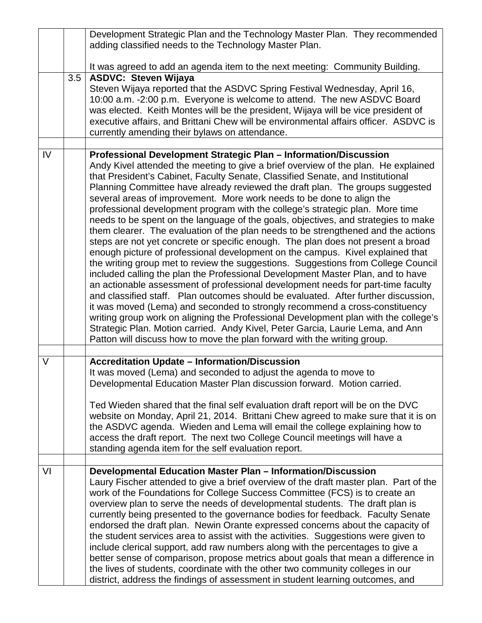|        |     | Development Strategic Plan and the Technology Master Plan. They recommended<br>adding classified needs to the Technology Master Plan.                                                                                                                                                                                                                                                                                                                                                                                                                                                                                                                                                                                                                                                                                                                                                                                                                                                                                                                                                                                                                                                                                                                                                                                                                                                                                                                                                                                      |
|--------|-----|----------------------------------------------------------------------------------------------------------------------------------------------------------------------------------------------------------------------------------------------------------------------------------------------------------------------------------------------------------------------------------------------------------------------------------------------------------------------------------------------------------------------------------------------------------------------------------------------------------------------------------------------------------------------------------------------------------------------------------------------------------------------------------------------------------------------------------------------------------------------------------------------------------------------------------------------------------------------------------------------------------------------------------------------------------------------------------------------------------------------------------------------------------------------------------------------------------------------------------------------------------------------------------------------------------------------------------------------------------------------------------------------------------------------------------------------------------------------------------------------------------------------------|
|        |     | It was agreed to add an agenda item to the next meeting: Community Building.                                                                                                                                                                                                                                                                                                                                                                                                                                                                                                                                                                                                                                                                                                                                                                                                                                                                                                                                                                                                                                                                                                                                                                                                                                                                                                                                                                                                                                               |
|        | 3.5 | <b>ASDVC: Steven Wijaya</b><br>Steven Wijaya reported that the ASDVC Spring Festival Wednesday, April 16,<br>10:00 a.m. -2:00 p.m. Everyone is welcome to attend. The new ASDVC Board<br>was elected. Keith Montes will be the president, Wijaya will be vice president of<br>executive affairs, and Brittani Chew will be environmental affairs officer. ASDVC is<br>currently amending their bylaws on attendance.                                                                                                                                                                                                                                                                                                                                                                                                                                                                                                                                                                                                                                                                                                                                                                                                                                                                                                                                                                                                                                                                                                       |
| IV     |     | Professional Development Strategic Plan - Information/Discussion<br>Andy Kivel attended the meeting to give a brief overview of the plan. He explained<br>that President's Cabinet, Faculty Senate, Classified Senate, and Institutional<br>Planning Committee have already reviewed the draft plan. The groups suggested<br>several areas of improvement. More work needs to be done to align the<br>professional development program with the college's strategic plan. More time<br>needs to be spent on the language of the goals, objectives, and strategies to make<br>them clearer. The evaluation of the plan needs to be strengthened and the actions<br>steps are not yet concrete or specific enough. The plan does not present a broad<br>enough picture of professional development on the campus. Kivel explained that<br>the writing group met to review the suggestions. Suggestions from College Council<br>included calling the plan the Professional Development Master Plan, and to have<br>an actionable assessment of professional development needs for part-time faculty<br>and classified staff. Plan outcomes should be evaluated. After further discussion,<br>it was moved (Lema) and seconded to strongly recommend a cross-constituency<br>writing group work on aligning the Professional Development plan with the college's<br>Strategic Plan. Motion carried. Andy Kivel, Peter Garcia, Laurie Lema, and Ann<br>Patton will discuss how to move the plan forward with the writing group. |
| $\vee$ |     | <b>Accreditation Update - Information/Discussion</b><br>It was moved (Lema) and seconded to adjust the agenda to move to<br>Developmental Education Master Plan discussion forward. Motion carried.<br>Ted Wieden shared that the final self evaluation draft report will be on the DVC<br>website on Monday, April 21, 2014. Brittani Chew agreed to make sure that it is on<br>the ASDVC agenda. Wieden and Lema will email the college explaining how to<br>access the draft report. The next two College Council meetings will have a<br>standing agenda item for the self evaluation report.                                                                                                                                                                                                                                                                                                                                                                                                                                                                                                                                                                                                                                                                                                                                                                                                                                                                                                                          |
| VI     |     | Developmental Education Master Plan - Information/Discussion<br>Laury Fischer attended to give a brief overview of the draft master plan. Part of the<br>work of the Foundations for College Success Committee (FCS) is to create an<br>overview plan to serve the needs of developmental students. The draft plan is<br>currently being presented to the governance bodies for feedback. Faculty Senate<br>endorsed the draft plan. Newin Orante expressed concerns about the capacity of<br>the student services area to assist with the activities. Suggestions were given to<br>include clerical support, add raw numbers along with the percentages to give a<br>better sense of comparison, propose metrics about goals that mean a difference in<br>the lives of students, coordinate with the other two community colleges in our<br>district, address the findings of assessment in student learning outcomes, and                                                                                                                                                                                                                                                                                                                                                                                                                                                                                                                                                                                                |